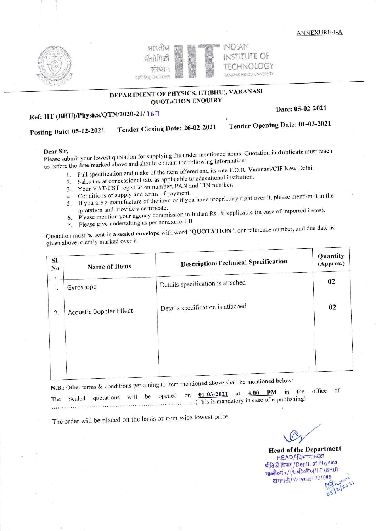



### DEPARTMENT OF PHYSICS, IIT(BHU), VARANASI **QUOTATION ENQUIRY**

## Ref: IIT (BHU)/Physics/QTN/2020-21/167

Date: 05-02-2021

Tender Opening Date: 01-03-2021

**Posting Date: 05-02-2021** 

Please submit your lowest quotation for supplying the under mentioned items. Quotation in duplicate must reach us before the date marked above and should contain the following information:

1. Full specification and make of the item offered and its rate F.O.R. Varanasi/CIF New Delhi.

2. Sales tax at concessional rate as applicable to educational institution.

Tender Closing Date: 26-02-2021

- 3. Your VAT/CST registration number, PAN and TIN number.
- 4. Conditions of supply and terms of payment.
- 5. If you are a manufacture of the item or if you have proprietary right over it, please mention it in the quotation and provide a certificate.
- Please mention your agency commission in Indian Rs., if applicable (in case of imported items).
- 6. Please give undertaking as per annexure-I-B 7.

Quotation must be sent in a sealed envelope with word "QUOTATION", our reference number, and due date as given above, clearly marked over it.

| SI.<br>No       | <b>Name of Items</b>           | <b>Description/Technical Specification</b> | Quantity<br>(Approx.) |
|-----------------|--------------------------------|--------------------------------------------|-----------------------|
| $\bullet$<br>1. | Gyroscope                      | Details specification is attached          | 02                    |
| 2.              | <b>Acoustic Doppler Effect</b> | Details specification is attached          | 02                    |
|                 |                                |                                            |                       |
|                 |                                |                                            |                       |

N.B.: Other terms & conditions pertaining to item mentioned above shall be mentioned below:

of office in the 4.00 **PM**  $01 - 03 - 2021$ at The Sealed quotations will be opened on This is mandatory in case of e-publishing).

The order will be placed on the basis of item wise lowest price.

**Head of the Department** HEAD/ विभागाध्यक्ष भौतिकी विभाग/Deptt. of Physics भारती (कार्जाली)/IIT (BHU) वाराणसी/Varaxasi-221085 05/2/2021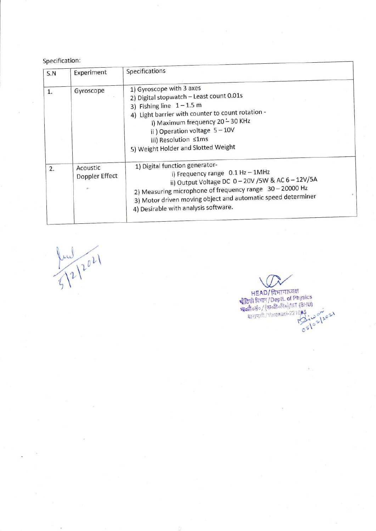#### Specification:

| S.N | Experiment                 | Specifications                                                                                                                                                                                                                                                                             |  |
|-----|----------------------------|--------------------------------------------------------------------------------------------------------------------------------------------------------------------------------------------------------------------------------------------------------------------------------------------|--|
| 1.  | Gyroscope                  | 1) Gyroscope with 3 axes<br>2) Digital stopwatch - Least count 0.01s<br>3) Fishing line $1 - 1.5$ m<br>4) Light barrier with counter to count rotation -<br>i) Maximum frequency 20 - 30 KHz<br>ii) Operation voltage 5-10V<br>iii) Resolution ≤1ms<br>5) Weight Holder and Slotted Weight |  |
| 2.  | Acoustic<br>Doppler Effect | 1) Digital function generator-<br>i) Frequency range 0.1 Hz - 1MHz<br>ii) Output Voltage DC 0-20V /5W & AC 6-12V/5A<br>2) Measuring microphone of frequency range 30 - 20000 Hz<br>3) Motor driven moving object and automatic speed determiner<br>4) Desirable with analysis software.    |  |

 $\bigwedge^2$ L

HEAD/ विभागाध्यक्ष<br>श्रीतिकी विभाग/Deptt. of Physics<br>श्रीकी विभाग/Deptt. of Physics<br>बाराणसी/Varanasi-221085<br>वाराणसी/Varanasi-221085<br>2021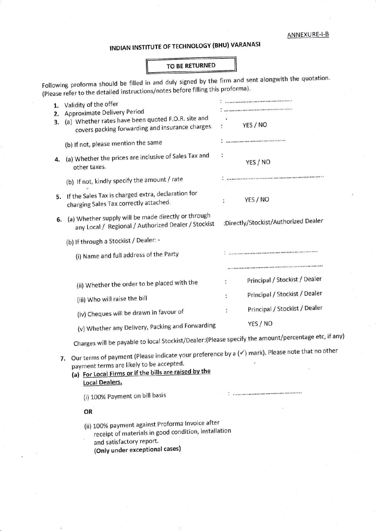# INDIAN INSTITUTE OF TECHNOLOGY (BHU) VARANASI

### TO BE RETURNED

Following proforma should be filled in and duly signed by the firm and sent alongwith the quotation. (Please refer to the detailed instructions/notes before filling this proforma).

| 1.<br>2.<br>3. | Validity of the offer<br>Approximate Delivery Period<br>(a) Whether rates have been quoted F.O.R. site and<br>covers packing forwarding and insurance charges.                                                                                 | <br>YES / NO<br>ř,                   |  |  |  |  |  |  |
|----------------|------------------------------------------------------------------------------------------------------------------------------------------------------------------------------------------------------------------------------------------------|--------------------------------------|--|--|--|--|--|--|
|                | (b) If not, please mention the same                                                                                                                                                                                                            |                                      |  |  |  |  |  |  |
| 4.             | (a) Whether the prices are inclusive of Sales Tax and<br>other taxes.                                                                                                                                                                          | ÷<br>YES / NO                        |  |  |  |  |  |  |
|                | (b) If not, kindly specify the amount / rate                                                                                                                                                                                                   |                                      |  |  |  |  |  |  |
| 5.             | If the Sales Tax is charged extra, declaration for<br>charging Sales Tax correctly attached.                                                                                                                                                   | YES / NO                             |  |  |  |  |  |  |
| 6.             | (a) Whether supply will be made directly or through<br>any Local / Regional / Authorized Dealer / Stockist                                                                                                                                     | :Directly/Stockist/Authorized Dealer |  |  |  |  |  |  |
|                | (b) If through a Stockist / Dealer: -                                                                                                                                                                                                          |                                      |  |  |  |  |  |  |
|                | (i) Name and full address of the Party                                                                                                                                                                                                         |                                      |  |  |  |  |  |  |
|                |                                                                                                                                                                                                                                                |                                      |  |  |  |  |  |  |
|                | (ii) Whether the order to be placed with the                                                                                                                                                                                                   | Principal / Stockist / Dealer        |  |  |  |  |  |  |
|                | (iii) Who will raise the bill                                                                                                                                                                                                                  | Principal / Stockist / Dealer<br>t   |  |  |  |  |  |  |
|                | (iv) Cheques will be drawn in favour of                                                                                                                                                                                                        | Principal / Stockist / Dealer        |  |  |  |  |  |  |
|                | (v) Whether any Delivery, Packing and Forwarding                                                                                                                                                                                               | YES / NO                             |  |  |  |  |  |  |
|                | Charges will be payable to local Stockist/Dealer: (Please specify the amount/percentage etc, if any)                                                                                                                                           |                                      |  |  |  |  |  |  |
|                | Our terms of payment (Please indicate your preference by a $(\checkmark)$ mark). Please note that no other<br>7.<br>payment terms are likely to be accepted.<br>(a) For Local Firms or if the bills are raised by the<br><b>Local Dealers.</b> |                                      |  |  |  |  |  |  |
|                | (i) 100% Payment on bill basis                                                                                                                                                                                                                 |                                      |  |  |  |  |  |  |
|                | OR                                                                                                                                                                                                                                             |                                      |  |  |  |  |  |  |
|                | (ii) 100% payment against Proforma Invoice after<br>receipt of materials in good condition, installation                                                                                                                                       |                                      |  |  |  |  |  |  |

and satisfactory report. (Only under exceptional cases)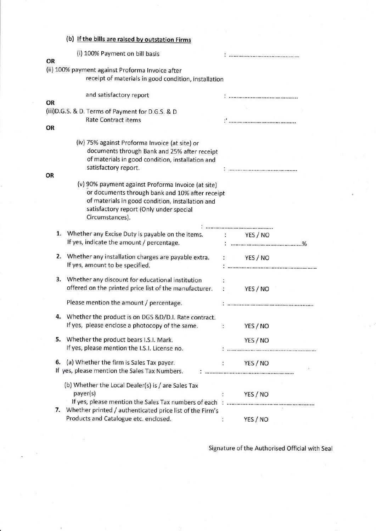|    | (b) If the bills are raised by outstation Firms                                                                                                                                                                         |   |                                    |
|----|-------------------------------------------------------------------------------------------------------------------------------------------------------------------------------------------------------------------------|---|------------------------------------|
| OR | (i) 100% Payment on bill basis                                                                                                                                                                                          |   |                                    |
|    | (ii) 100% payment against Proforma Invoice after<br>receipt of materials in good condition, installation                                                                                                                |   |                                    |
| OR | and satisfactory report                                                                                                                                                                                                 |   |                                    |
|    | (iii) D.G.S. & D. Terms of Payment for D.G.S. & D<br><b>Rate Contract items</b>                                                                                                                                         |   | $\mathcal{L}_{\text{unmononance}}$ |
| OR |                                                                                                                                                                                                                         |   |                                    |
|    | (iv) 75% against Proforma Invoice (at site) or<br>documents through Bank and 25% after receipt<br>of materials in good condition, installation and<br>satisfactory report.                                              |   |                                    |
| OR |                                                                                                                                                                                                                         |   |                                    |
|    | (v) 90% payment against Proforma Invoice (at site)<br>or documents through bank and 10% after receipt<br>of materials in good condition, installation and<br>satisfactory report (Only under special<br>Circumstances). |   |                                    |
|    |                                                                                                                                                                                                                         |   |                                    |
| 1. | Whether any Excise Duty is payable on the items. : YES / NO<br>If yes, indicate the amount / percentage.                                                                                                                |   |                                    |
| 2. | Whether any installation charges are payable extra. : YES / NO<br>If yes, amount to be specified.                                                                                                                       |   |                                    |
| 3. | Whether any discount for educational institution<br>offered on the printed price list of the manufacturer. : YES / NO                                                                                                   |   |                                    |
|    | Please mention the amount / percentage.                                                                                                                                                                                 |   |                                    |
|    | Whether the product is on DGS &D/D.I. Rate contract.<br>If yes, please enclose a photocopy of the same.                                                                                                                 | ÷ | YES / NO                           |
| 5. | Whether the product bears I.S.I. Mark.<br>If yes, please mention the I.S.I. License no.                                                                                                                                 |   | YES / NO                           |
| 6. | (a) Whether the firm is Sales Tax payer.<br>If yes, please mention the Sales Tax Numbers.                                                                                                                               |   | YES / NO<br>¥.                     |
|    | (b) Whether the Local Dealer(s) is / are Sales Tax<br>payer(s)                                                                                                                                                          |   | YES / NO                           |
|    | 7. Whether printed / authenticated price list of the Firm's<br>Products and Catalogue etc. enclosed.                                                                                                                    |   | YES / NO                           |

Signature of the Authorised Official with Seal